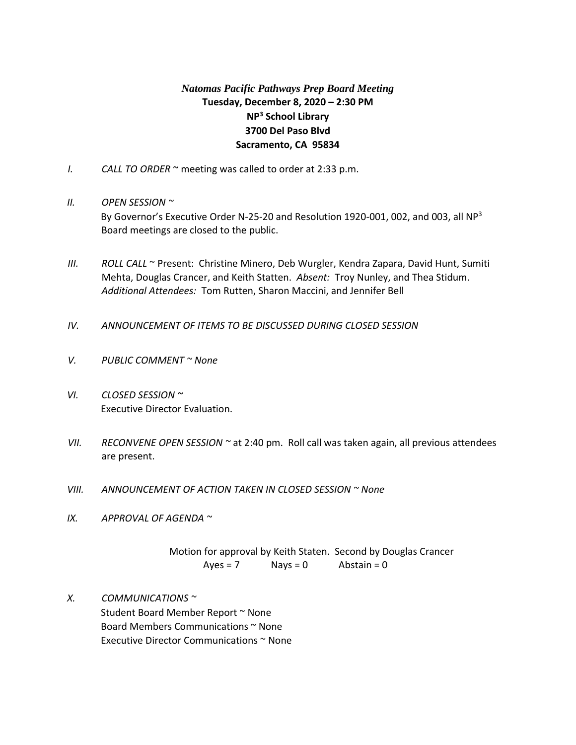# *Natomas Pacific Pathways Prep Board Meeting* **Tuesday, December 8, 2020 – 2:30 PM NP<sup>3</sup> School Library 3700 Del Paso Blvd Sacramento, CA 95834**

- *I. CALL TO ORDER* ~ meeting was called to order at 2:33 p.m.
- *II. OPEN SESSION ~*

By Governor's Executive Order N-25-20 and Resolution 1920-001, 002, and 003, all NP<sup>3</sup> Board meetings are closed to the public.

- *III. ROLL CALL* ~ Present: Christine Minero, Deb Wurgler, Kendra Zapara, David Hunt, Sumiti Mehta, Douglas Crancer, and Keith Statten. *Absent:* Troy Nunley, and Thea Stidum. *Additional Attendees:* Tom Rutten, Sharon Maccini, and Jennifer Bell
- *IV. ANNOUNCEMENT OF ITEMS TO BE DISCUSSED DURING CLOSED SESSION*
- *V. PUBLIC COMMENT ~ None*
- *VI. CLOSED SESSION ~* Executive Director Evaluation.
- *VII. RECONVENE OPEN SESSION ~* at 2:40 pm. Roll call was taken again, all previous attendees are present.
- *VIII. ANNOUNCEMENT OF ACTION TAKEN IN CLOSED SESSION ~ None*
- *IX. APPROVAL OF AGENDA ~*

Motion for approval by Keith Staten. Second by Douglas Crancer  $Ayes = 7$  Nays = 0 Abstain = 0

*X. COMMUNICATIONS ~*  Student Board Member Report ~ None Board Members Communications ~ None Executive Director Communications ~ None